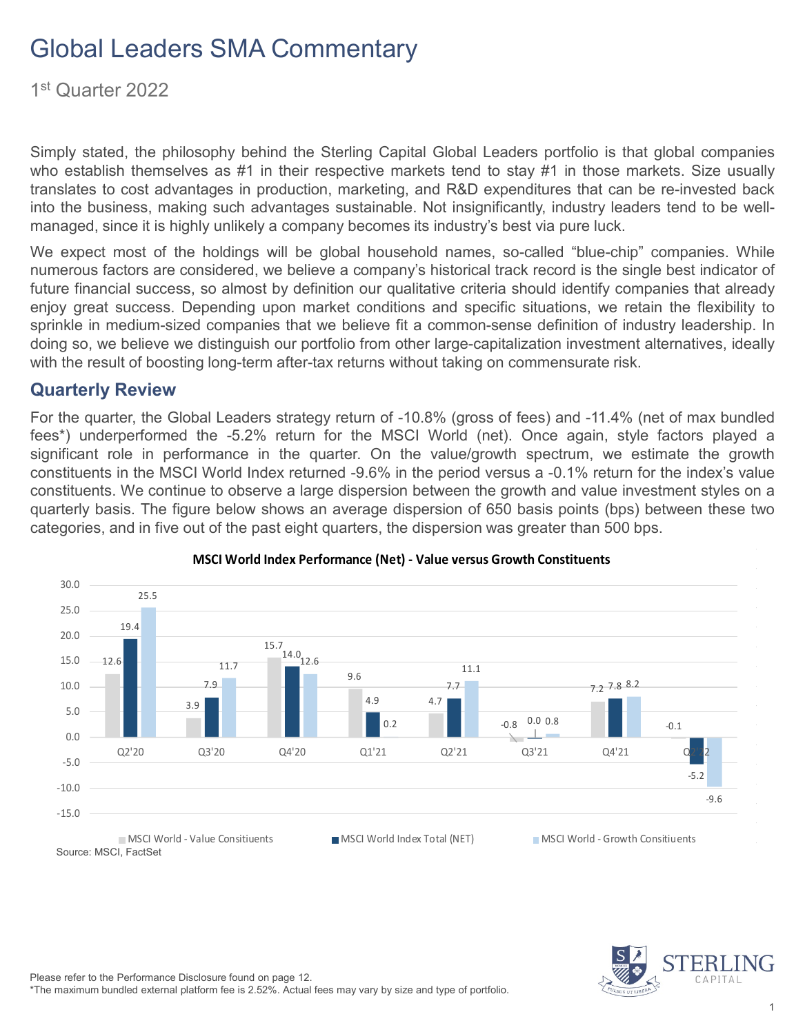1st Quarter 2022

Simply stated, the philosophy behind the Sterling Capital Global Leaders portfolio is that global companies who establish themselves as #1 in their respective markets tend to stay #1 in those markets. Size usually translates to cost advantages in production, marketing, and R&D expenditures that can be re-invested back into the business, making such advantages sustainable. Not insignificantly, industry leaders tend to be wellmanaged, since it is highly unlikely a company becomes its industry's best via pure luck.

We expect most of the holdings will be global household names, so-called "blue-chip" companies. While numerous factors are considered, we believe a company's historical track record is the single best indicator of future financial success, so almost by definition our qualitative criteria should identify companies that already enjoy great success. Depending upon market conditions and specific situations, we retain the flexibility to sprinkle in medium-sized companies that we believe fit a common-sense definition of industry leadership. In doing so, we believe we distinguish our portfolio from other large-capitalization investment alternatives, ideally with the result of boosting long-term after-tax returns without taking on commensurate risk.

#### **Quarterly Review**

For the quarter, the Global Leaders strategy return of -10.8% (gross of fees) and -11.4% (net of max bundled fees\*) underperformed the -5.2% return for the MSCI World (net). Once again, style factors played a significant role in performance in the quarter. On the value/growth spectrum, we estimate the growth constituents in the MSCI World Index returned -9.6% in the period versus a -0.1% return for the index's value constituents. We continue to observe a large dispersion between the growth and value investment styles on a quarterly basis. The figure below shows an average dispersion of 650 basis points (bps) between these two categories, and in five out of the past eight quarters, the dispersion was greater than 500 bps.





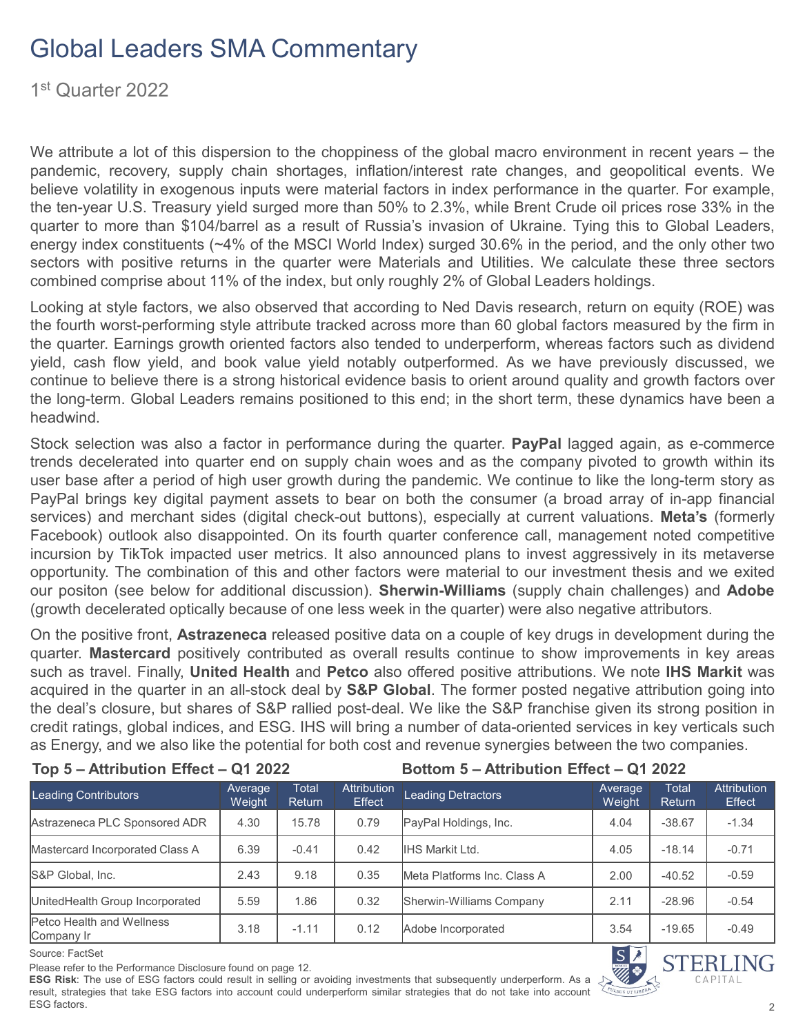1st Quarter 2022

We attribute a lot of this dispersion to the choppiness of the global macro environment in recent years – the pandemic, recovery, supply chain shortages, inflation/interest rate changes, and geopolitical events. We believe volatility in exogenous inputs were material factors in index performance in the quarter. For example, the ten-year U.S. Treasury yield surged more than 50% to 2.3%, while Brent Crude oil prices rose 33% in the quarter to more than \$104/barrel as a result of Russia's invasion of Ukraine. Tying this to Global Leaders, energy index constituents (~4% of the MSCI World Index) surged 30.6% in the period, and the only other two sectors with positive returns in the quarter were Materials and Utilities. We calculate these three sectors combined comprise about 11% of the index, but only roughly 2% of Global Leaders holdings.

Looking at style factors, we also observed that according to Ned Davis research, return on equity (ROE) was the fourth worst-performing style attribute tracked across more than 60 global factors measured by the firm in the quarter. Earnings growth oriented factors also tended to underperform, whereas factors such as dividend yield, cash flow yield, and book value yield notably outperformed. As we have previously discussed, we continue to believe there is a strong historical evidence basis to orient around quality and growth factors over the long-term. Global Leaders remains positioned to this end; in the short term, these dynamics have been a headwind.

Stock selection was also a factor in performance during the quarter. **PayPal** lagged again, as e-commerce trends decelerated into quarter end on supply chain woes and as the company pivoted to growth within its user base after a period of high user growth during the pandemic. We continue to like the long-term story as PayPal brings key digital payment assets to bear on both the consumer (a broad array of in-app financial services) and merchant sides (digital check-out buttons), especially at current valuations. **Meta's** (formerly Facebook) outlook also disappointed. On its fourth quarter conference call, management noted competitive incursion by TikTok impacted user metrics. It also announced plans to invest aggressively in its metaverse opportunity. The combination of this and other factors were material to our investment thesis and we exited our positon (see below for additional discussion). **Sherwin-Williams** (supply chain challenges) and **Adobe** (growth decelerated optically because of one less week in the quarter) were also negative attributors.

On the positive front, **Astrazeneca** released positive data on a couple of key drugs in development during the quarter. **Mastercard** positively contributed as overall results continue to show improvements in key areas such as travel. Finally, **United Health** and **Petco** also offered positive attributions. We note **IHS Markit** was acquired in the quarter in an all-stock deal by **S&P Global**. The former posted negative attribution going into the deal's closure, but shares of S&P rallied post-deal. We like the S&P franchise given its strong position in credit ratings, global indices, and ESG. IHS will bring a number of data-oriented services in key verticals such as Energy, and we also like the potential for both cost and revenue synergies between the two companies.

**Top 5 – Attribution Effect – Q1 2022 Bottom 5 – Attribution Effect – Q1 2022**

| <b>Leading Contributors</b>                    | Average<br>Weight | Total<br>Return | <b>Attribution</b><br>Effect | <b>Leading Detractors</b>    | Average<br>Weight | <b>Total</b><br>Return | <b>Attribution</b><br>Effect |
|------------------------------------------------|-------------------|-----------------|------------------------------|------------------------------|-------------------|------------------------|------------------------------|
| Astrazeneca PLC Sponsored ADR                  | 4.30              | 15.78           | 0.79                         | PayPal Holdings, Inc.        | 4.04              | $-38.67$               | $-1.34$                      |
| Mastercard Incorporated Class A                | 6.39              | $-0.41$         | 0.42                         | <b>IIHS Markit Ltd.</b>      | 4.05              | $-18.14$               | $-0.71$                      |
| S&P Global, Inc.                               | 2.43              | 9.18            | 0.35                         | IMeta Platforms Inc. Class A | 2.00              | $-40.52$               | $-0.59$                      |
| UnitedHealth Group Incorporated                | 5.59              | 1.86            | 0.32                         | Sherwin-Williams Company     | 2.11              | $-28.96$               | $-0.54$                      |
| <b>Petco Health and Wellness</b><br>Company Ir | 3.18              | $-1.11$         | 0.12                         | Adobe Incorporated           | 3.54              | $-19.65$               | $-0.49$                      |

Source: FactSet

Please refer to the Performance Disclosure found on page 12.

**ESG Risk**: The use of ESG factors could result in selling or avoiding investments that subsequently underperform. As a result, strategies that take ESG factors into account could underperform similar strategies that do not take into account ESG factors.

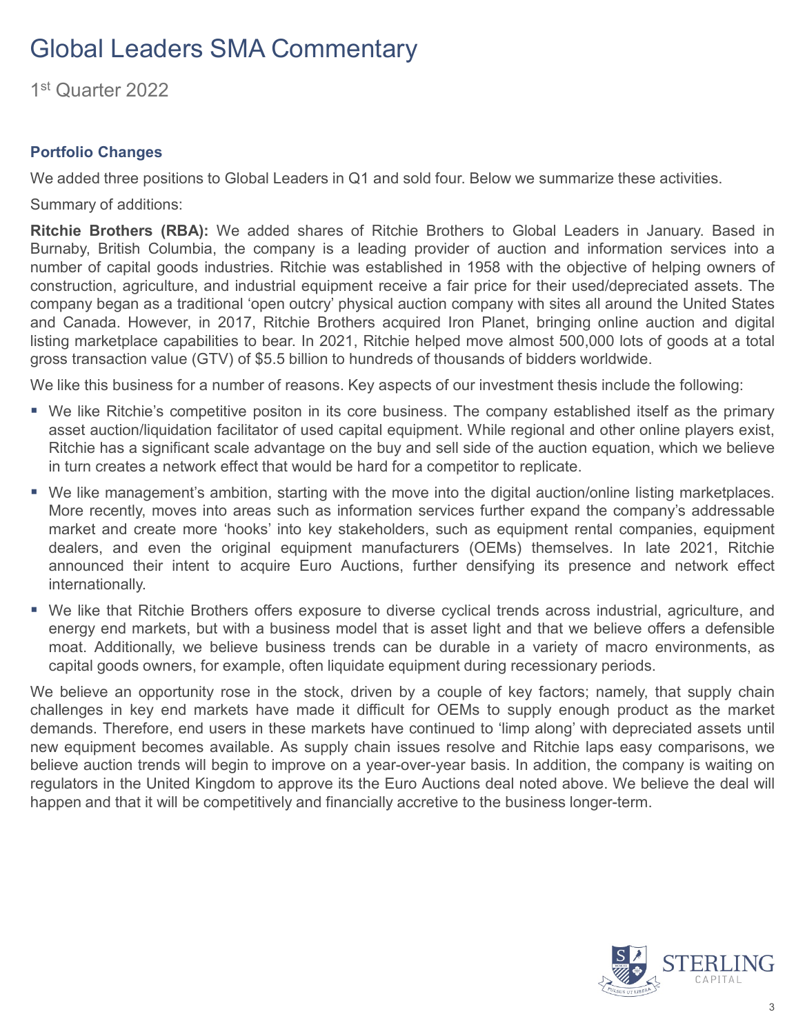1st Quarter 2022

#### **Portfolio Changes**

We added three positions to Global Leaders in Q1 and sold four. Below we summarize these activities.

Summary of additions:

**Ritchie Brothers (RBA):** We added shares of Ritchie Brothers to Global Leaders in January. Based in Burnaby, British Columbia, the company is a leading provider of auction and information services into a number of capital goods industries. Ritchie was established in 1958 with the objective of helping owners of construction, agriculture, and industrial equipment receive a fair price for their used/depreciated assets. The company began as a traditional 'open outcry' physical auction company with sites all around the United States and Canada. However, in 2017, Ritchie Brothers acquired Iron Planet, bringing online auction and digital listing marketplace capabilities to bear. In 2021, Ritchie helped move almost 500,000 lots of goods at a total gross transaction value (GTV) of \$5.5 billion to hundreds of thousands of bidders worldwide.

We like this business for a number of reasons. Key aspects of our investment thesis include the following:

- We like Ritchie's competitive positon in its core business. The company established itself as the primary asset auction/liquidation facilitator of used capital equipment. While regional and other online players exist, Ritchie has a significant scale advantage on the buy and sell side of the auction equation, which we believe in turn creates a network effect that would be hard for a competitor to replicate.
- We like management's ambition, starting with the move into the digital auction/online listing marketplaces. More recently, moves into areas such as information services further expand the company's addressable market and create more 'hooks' into key stakeholders, such as equipment rental companies, equipment dealers, and even the original equipment manufacturers (OEMs) themselves. In late 2021, Ritchie announced their intent to acquire Euro Auctions, further densifying its presence and network effect internationally.
- We like that Ritchie Brothers offers exposure to diverse cyclical trends across industrial, agriculture, and energy end markets, but with a business model that is asset light and that we believe offers a defensible moat. Additionally, we believe business trends can be durable in a variety of macro environments, as capital goods owners, for example, often liquidate equipment during recessionary periods.

We believe an opportunity rose in the stock, driven by a couple of key factors; namely, that supply chain challenges in key end markets have made it difficult for OEMs to supply enough product as the market demands. Therefore, end users in these markets have continued to 'limp along' with depreciated assets until new equipment becomes available. As supply chain issues resolve and Ritchie laps easy comparisons, we believe auction trends will begin to improve on a year-over-year basis. In addition, the company is waiting on regulators in the United Kingdom to approve its the Euro Auctions deal noted above. We believe the deal will happen and that it will be competitively and financially accretive to the business longer-term.

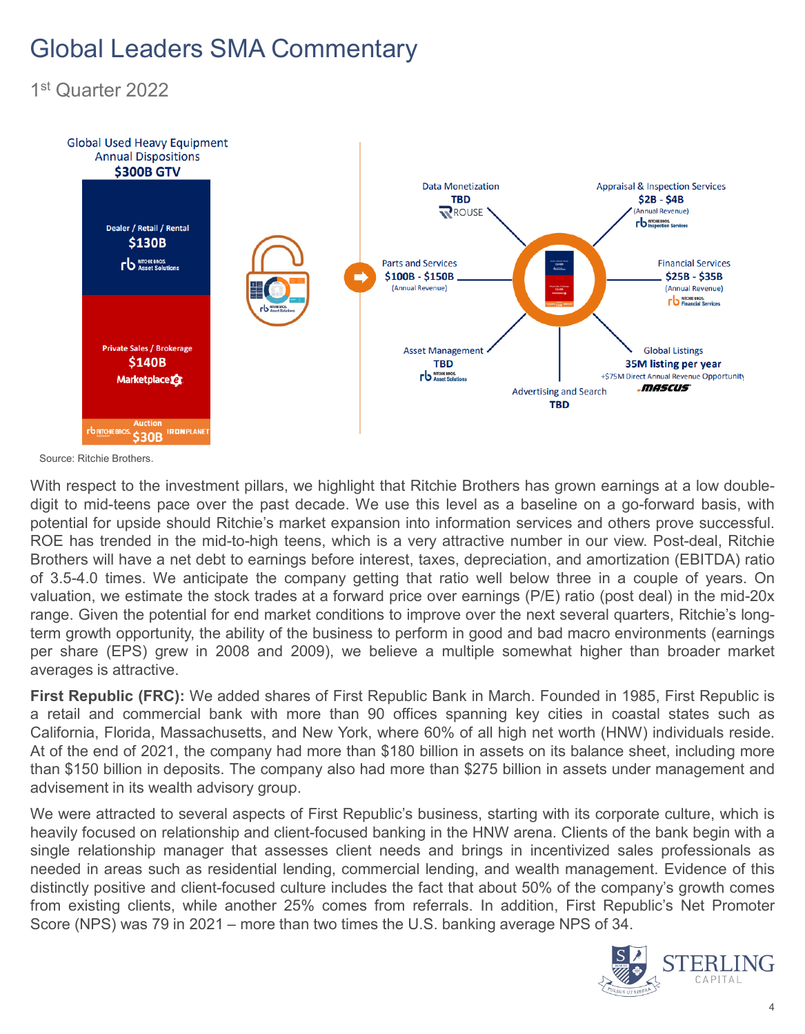1st Quarter 2022



Source: Ritchie Brothers.

With respect to the investment pillars, we highlight that Ritchie Brothers has grown earnings at a low doubledigit to mid-teens pace over the past decade. We use this level as a baseline on a go-forward basis, with potential for upside should Ritchie's market expansion into information services and others prove successful. ROE has trended in the mid-to-high teens, which is a very attractive number in our view. Post-deal, Ritchie Brothers will have a net debt to earnings before interest, taxes, depreciation, and amortization (EBITDA) ratio of 3.5-4.0 times. We anticipate the company getting that ratio well below three in a couple of years. On valuation, we estimate the stock trades at a forward price over earnings (P/E) ratio (post deal) in the mid-20x range. Given the potential for end market conditions to improve over the next several quarters, Ritchie's longterm growth opportunity, the ability of the business to perform in good and bad macro environments (earnings per share (EPS) grew in 2008 and 2009), we believe a multiple somewhat higher than broader market averages is attractive.

**First Republic (FRC):** We added shares of First Republic Bank in March. Founded in 1985, First Republic is a retail and commercial bank with more than 90 offices spanning key cities in coastal states such as California, Florida, Massachusetts, and New York, where 60% of all high net worth (HNW) individuals reside. At of the end of 2021, the company had more than \$180 billion in assets on its balance sheet, including more than \$150 billion in deposits. The company also had more than \$275 billion in assets under management and advisement in its wealth advisory group.

We were attracted to several aspects of First Republic's business, starting with its corporate culture, which is heavily focused on relationship and client-focused banking in the HNW arena. Clients of the bank begin with a single relationship manager that assesses client needs and brings in incentivized sales professionals as needed in areas such as residential lending, commercial lending, and wealth management. Evidence of this distinctly positive and client-focused culture includes the fact that about 50% of the company's growth comes from existing clients, while another 25% comes from referrals. In addition, First Republic's Net Promoter Score (NPS) was 79 in 2021 – more than two times the U.S. banking average NPS of 34.

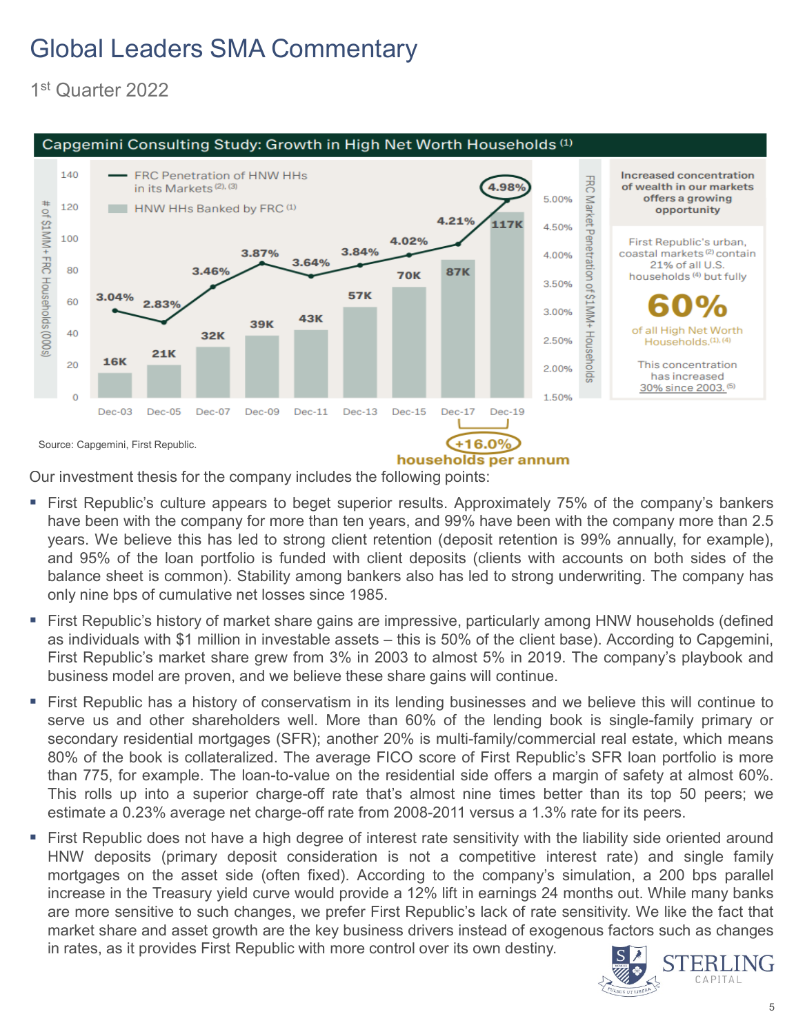1st Quarter 2022



Our investment thesis for the company includes the following points:

- **First Republic's culture appears to beget superior results. Approximately 75% of the company's bankers** have been with the company for more than ten years, and 99% have been with the company more than 2.5 years. We believe this has led to strong client retention (deposit retention is 99% annually, for example), and 95% of the loan portfolio is funded with client deposits (clients with accounts on both sides of the balance sheet is common). Stability among bankers also has led to strong underwriting. The company has only nine bps of cumulative net losses since 1985.
- First Republic's history of market share gains are impressive, particularly among HNW households (defined as individuals with \$1 million in investable assets – this is 50% of the client base). According to Capgemini, First Republic's market share grew from 3% in 2003 to almost 5% in 2019. The company's playbook and business model are proven, and we believe these share gains will continue.
- First Republic has a history of conservatism in its lending businesses and we believe this will continue to serve us and other shareholders well. More than 60% of the lending book is single-family primary or secondary residential mortgages (SFR); another 20% is multi-family/commercial real estate, which means 80% of the book is collateralized. The average FICO score of First Republic's SFR loan portfolio is more than 775, for example. The loan-to-value on the residential side offers a margin of safety at almost 60%. This rolls up into a superior charge-off rate that's almost nine times better than its top 50 peers; we estimate a 0.23% average net charge-off rate from 2008-2011 versus a 1.3% rate for its peers.
- First Republic does not have a high degree of interest rate sensitivity with the liability side oriented around HNW deposits (primary deposit consideration is not a competitive interest rate) and single family mortgages on the asset side (often fixed). According to the company's simulation, a 200 bps parallel increase in the Treasury yield curve would provide a 12% lift in earnings 24 months out. While many banks are more sensitive to such changes, we prefer First Republic's lack of rate sensitivity. We like the fact that market share and asset growth are the key business drivers instead of exogenous factors such as changes in rates, as it provides First Republic with more control over its own destiny.

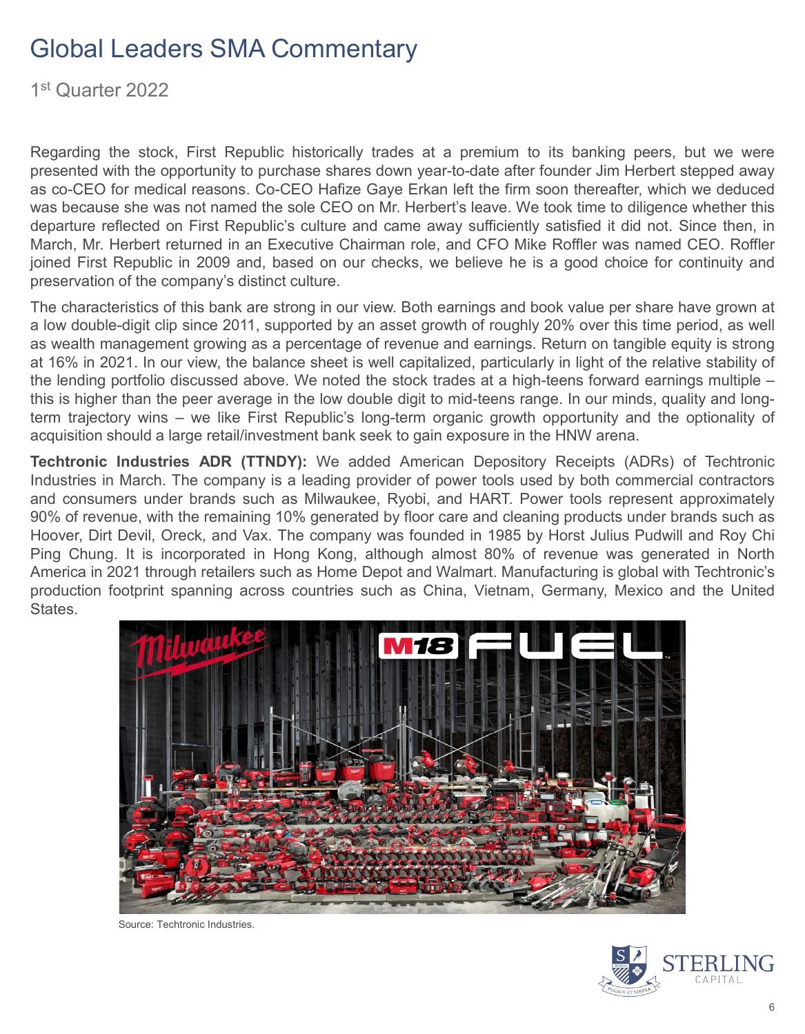1st Quarter 2022

Regarding the stock, First Republic historically trades at a premium to its banking peers, but we were presented with the opportunity to purchase shares down year-to-date after founder Jim Herbert stepped away as co-CEO for medical reasons. Co-CEO Hafize Gaye Erkan left the firm soon thereafter, which we deduced was because she was not named the sole CEO on Mr. Herbert's leave. We took time to diligence whether this departure reflected on First Republic's culture and came away sufficiently satisfied it did not. Since then, in March, Mr. Herbert returned in an Executive Chairman role, and CFO Mike Roffler was named CEO. Roffler joined First Republic in 2009 and, based on our checks, we believe he is a good choice for continuity and preservation of the company's distinct culture.

The characteristics of this bank are strong in our view. Both earnings and book value per share have grown at a low double-digit clip since 2011, supported by an asset growth of roughly 20% over this time period, as well as wealth management growing as a percentage of revenue and earnings. Return on tangible equity is strong at 16% in 2021. In our view, the balance sheet is well capitalized, particularly in light of the relative stability of the lending portfolio discussed above. We noted the stock trades at a high-teens forward earnings multiple – this is higher than the peer average in the low double digit to mid-teens range. In our minds, quality and longterm trajectory wins – we like First Republic's long-term organic growth opportunity and the optionality of acquisition should a large retail/investment bank seek to gain exposure in the HNW arena.

**Techtronic Industries ADR (TTNDY):** We added American Depository Receipts (ADRs) of Techtronic Industries in March. The company is a leading provider of power tools used by both commercial contractors and consumers under brands such as Milwaukee, Ryobi, and HART. Power tools represent approximately 90% of revenue, with the remaining 10% generated by floor care and cleaning products under brands such as Hoover, Dirt Devil, Oreck, and Vax. The company was founded in 1985 by Horst Julius Pudwill and Roy Chi Ping Chung. It is incorporated in Hong Kong, although almost 80% of revenue was generated in North America in 2021 through retailers such as Home Depot and Walmart. Manufacturing is global with Techtronic's production footprint spanning across countries such as China, Vietnam, Germany, Mexico and the United States.



Source: Techtronic Industries.

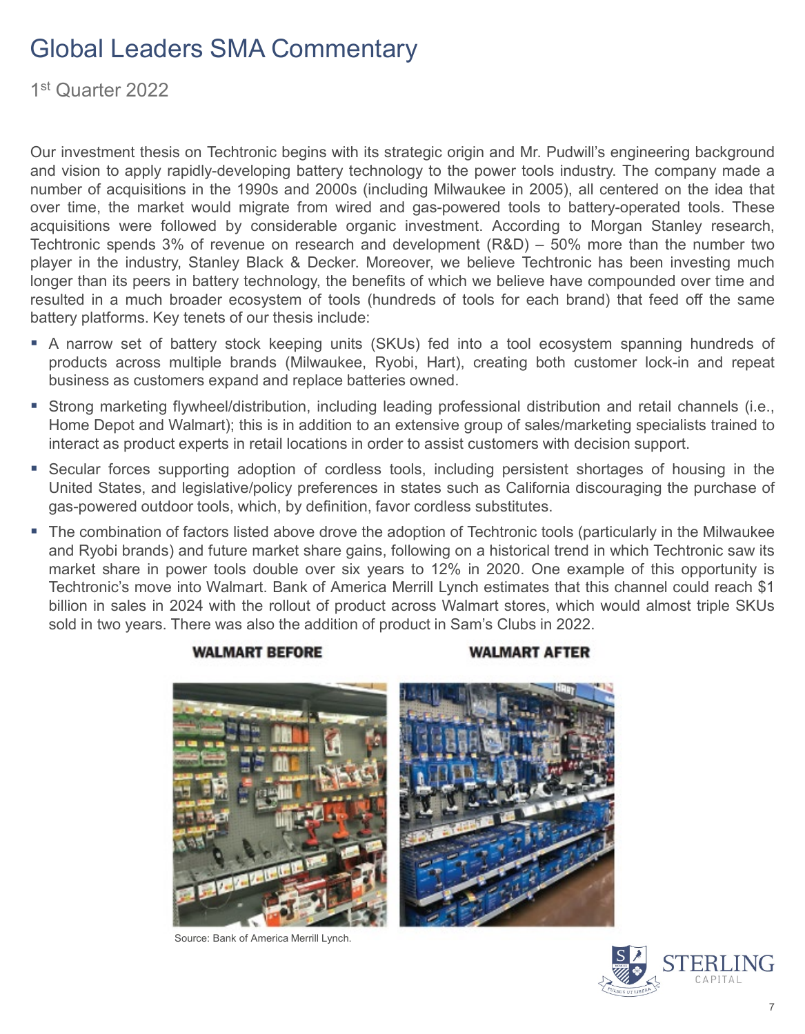1st Quarter 2022

Our investment thesis on Techtronic begins with its strategic origin and Mr. Pudwill's engineering background and vision to apply rapidly-developing battery technology to the power tools industry. The company made a number of acquisitions in the 1990s and 2000s (including Milwaukee in 2005), all centered on the idea that over time, the market would migrate from wired and gas-powered tools to battery-operated tools. These acquisitions were followed by considerable organic investment. According to Morgan Stanley research, Techtronic spends 3% of revenue on research and development (R&D) – 50% more than the number two player in the industry, Stanley Black & Decker. Moreover, we believe Techtronic has been investing much longer than its peers in battery technology, the benefits of which we believe have compounded over time and resulted in a much broader ecosystem of tools (hundreds of tools for each brand) that feed off the same battery platforms. Key tenets of our thesis include:

- A narrow set of battery stock keeping units (SKUs) fed into a tool ecosystem spanning hundreds of products across multiple brands (Milwaukee, Ryobi, Hart), creating both customer lock-in and repeat business as customers expand and replace batteries owned.
- Strong marketing flywheel/distribution, including leading professional distribution and retail channels (i.e., Home Depot and Walmart); this is in addition to an extensive group of sales/marketing specialists trained to interact as product experts in retail locations in order to assist customers with decision support.
- Secular forces supporting adoption of cordless tools, including persistent shortages of housing in the United States, and legislative/policy preferences in states such as California discouraging the purchase of gas-powered outdoor tools, which, by definition, favor cordless substitutes.
- The combination of factors listed above drove the adoption of Techtronic tools (particularly in the Milwaukee and Ryobi brands) and future market share gains, following on a historical trend in which Techtronic saw its market share in power tools double over six years to 12% in 2020. One example of this opportunity is Techtronic's move into Walmart. Bank of America Merrill Lynch estimates that this channel could reach \$1 billion in sales in 2024 with the rollout of product across Walmart stores, which would almost triple SKUs sold in two years. There was also the addition of product in Sam's Clubs in 2022.

#### **WALMART BEFORE**

#### **WALMART AFTER**



Source: Bank of America Merrill Lynch.

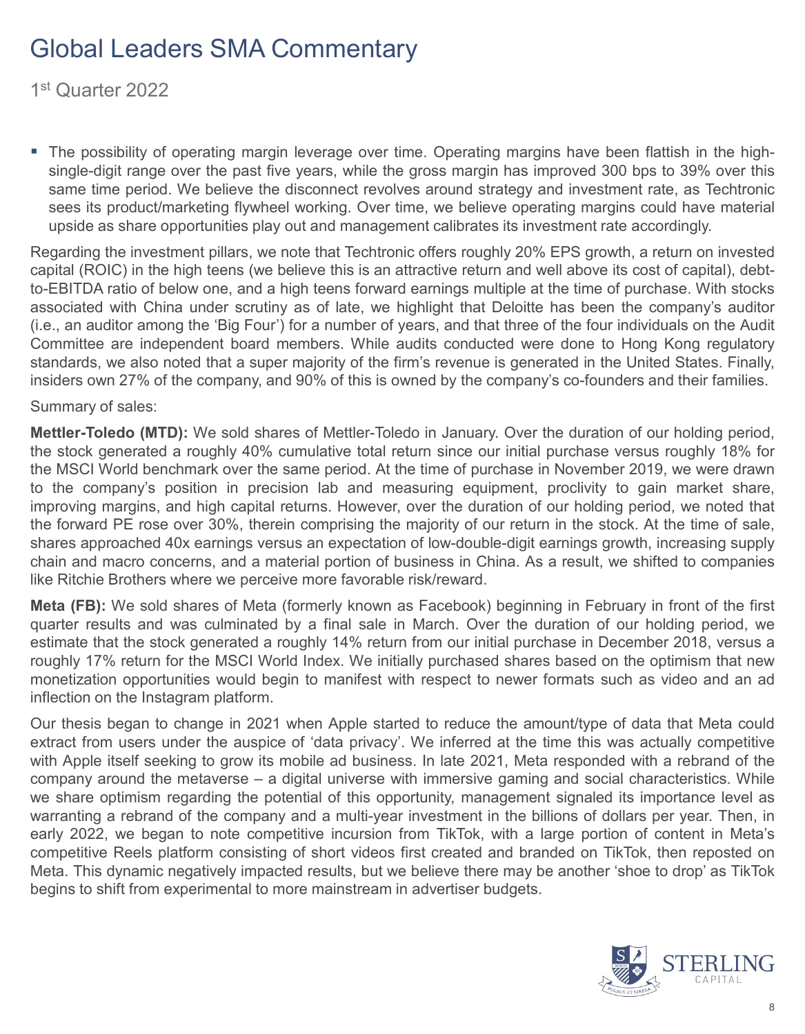1st Quarter 2022

 The possibility of operating margin leverage over time. Operating margins have been flattish in the highsingle-digit range over the past five years, while the gross margin has improved 300 bps to 39% over this same time period. We believe the disconnect revolves around strategy and investment rate, as Techtronic sees its product/marketing flywheel working. Over time, we believe operating margins could have material upside as share opportunities play out and management calibrates its investment rate accordingly.

Regarding the investment pillars, we note that Techtronic offers roughly 20% EPS growth, a return on invested capital (ROIC) in the high teens (we believe this is an attractive return and well above its cost of capital), debtto-EBITDA ratio of below one, and a high teens forward earnings multiple at the time of purchase. With stocks associated with China under scrutiny as of late, we highlight that Deloitte has been the company's auditor (i.e., an auditor among the 'Big Four') for a number of years, and that three of the four individuals on the Audit Committee are independent board members. While audits conducted were done to Hong Kong regulatory standards, we also noted that a super majority of the firm's revenue is generated in the United States. Finally, insiders own 27% of the company, and 90% of this is owned by the company's co-founders and their families.

Summary of sales:

**Mettler-Toledo (MTD):** We sold shares of Mettler-Toledo in January. Over the duration of our holding period, the stock generated a roughly 40% cumulative total return since our initial purchase versus roughly 18% for the MSCI World benchmark over the same period. At the time of purchase in November 2019, we were drawn to the company's position in precision lab and measuring equipment, proclivity to gain market share, improving margins, and high capital returns. However, over the duration of our holding period, we noted that the forward PE rose over 30%, therein comprising the majority of our return in the stock. At the time of sale, shares approached 40x earnings versus an expectation of low-double-digit earnings growth, increasing supply chain and macro concerns, and a material portion of business in China. As a result, we shifted to companies like Ritchie Brothers where we perceive more favorable risk/reward.

**Meta (FB):** We sold shares of Meta (formerly known as Facebook) beginning in February in front of the first quarter results and was culminated by a final sale in March. Over the duration of our holding period, we estimate that the stock generated a roughly 14% return from our initial purchase in December 2018, versus a roughly 17% return for the MSCI World Index. We initially purchased shares based on the optimism that new monetization opportunities would begin to manifest with respect to newer formats such as video and an ad inflection on the Instagram platform.

Our thesis began to change in 2021 when Apple started to reduce the amount/type of data that Meta could extract from users under the auspice of 'data privacy'. We inferred at the time this was actually competitive with Apple itself seeking to grow its mobile ad business. In late 2021, Meta responded with a rebrand of the company around the metaverse – a digital universe with immersive gaming and social characteristics. While we share optimism regarding the potential of this opportunity, management signaled its importance level as warranting a rebrand of the company and a multi-year investment in the billions of dollars per year. Then, in early 2022, we began to note competitive incursion from TikTok, with a large portion of content in Meta's competitive Reels platform consisting of short videos first created and branded on TikTok, then reposted on Meta. This dynamic negatively impacted results, but we believe there may be another 'shoe to drop' as TikTok begins to shift from experimental to more mainstream in advertiser budgets.

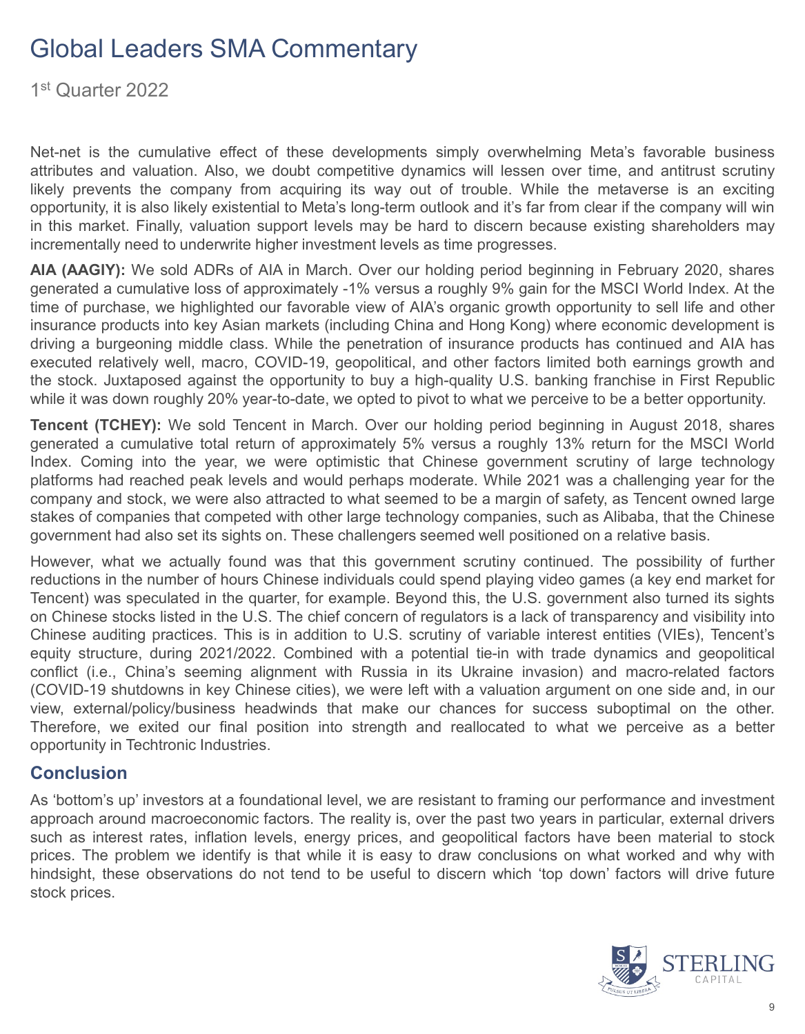1st Quarter 2022

Net-net is the cumulative effect of these developments simply overwhelming Meta's favorable business attributes and valuation. Also, we doubt competitive dynamics will lessen over time, and antitrust scrutiny likely prevents the company from acquiring its way out of trouble. While the metaverse is an exciting opportunity, it is also likely existential to Meta's long-term outlook and it's far from clear if the company will win in this market. Finally, valuation support levels may be hard to discern because existing shareholders may incrementally need to underwrite higher investment levels as time progresses.

**AIA (AAGIY):** We sold ADRs of AIA in March. Over our holding period beginning in February 2020, shares generated a cumulative loss of approximately -1% versus a roughly 9% gain for the MSCI World Index. At the time of purchase, we highlighted our favorable view of AIA's organic growth opportunity to sell life and other insurance products into key Asian markets (including China and Hong Kong) where economic development is driving a burgeoning middle class. While the penetration of insurance products has continued and AIA has executed relatively well, macro, COVID-19, geopolitical, and other factors limited both earnings growth and the stock. Juxtaposed against the opportunity to buy a high-quality U.S. banking franchise in First Republic while it was down roughly 20% year-to-date, we opted to pivot to what we perceive to be a better opportunity.

**Tencent (TCHEY):** We sold Tencent in March. Over our holding period beginning in August 2018, shares generated a cumulative total return of approximately 5% versus a roughly 13% return for the MSCI World Index. Coming into the year, we were optimistic that Chinese government scrutiny of large technology platforms had reached peak levels and would perhaps moderate. While 2021 was a challenging year for the company and stock, we were also attracted to what seemed to be a margin of safety, as Tencent owned large stakes of companies that competed with other large technology companies, such as Alibaba, that the Chinese government had also set its sights on. These challengers seemed well positioned on a relative basis.

However, what we actually found was that this government scrutiny continued. The possibility of further reductions in the number of hours Chinese individuals could spend playing video games (a key end market for Tencent) was speculated in the quarter, for example. Beyond this, the U.S. government also turned its sights on Chinese stocks listed in the U.S. The chief concern of regulators is a lack of transparency and visibility into Chinese auditing practices. This is in addition to U.S. scrutiny of variable interest entities (VIEs), Tencent's equity structure, during 2021/2022. Combined with a potential tie-in with trade dynamics and geopolitical conflict (i.e., China's seeming alignment with Russia in its Ukraine invasion) and macro-related factors (COVID-19 shutdowns in key Chinese cities), we were left with a valuation argument on one side and, in our view, external/policy/business headwinds that make our chances for success suboptimal on the other. Therefore, we exited our final position into strength and reallocated to what we perceive as a better opportunity in Techtronic Industries.

#### **Conclusion**

As 'bottom's up' investors at a foundational level, we are resistant to framing our performance and investment approach around macroeconomic factors. The reality is, over the past two years in particular, external drivers such as interest rates, inflation levels, energy prices, and geopolitical factors have been material to stock prices. The problem we identify is that while it is easy to draw conclusions on what worked and why with hindsight, these observations do not tend to be useful to discern which 'top down' factors will drive future stock prices.

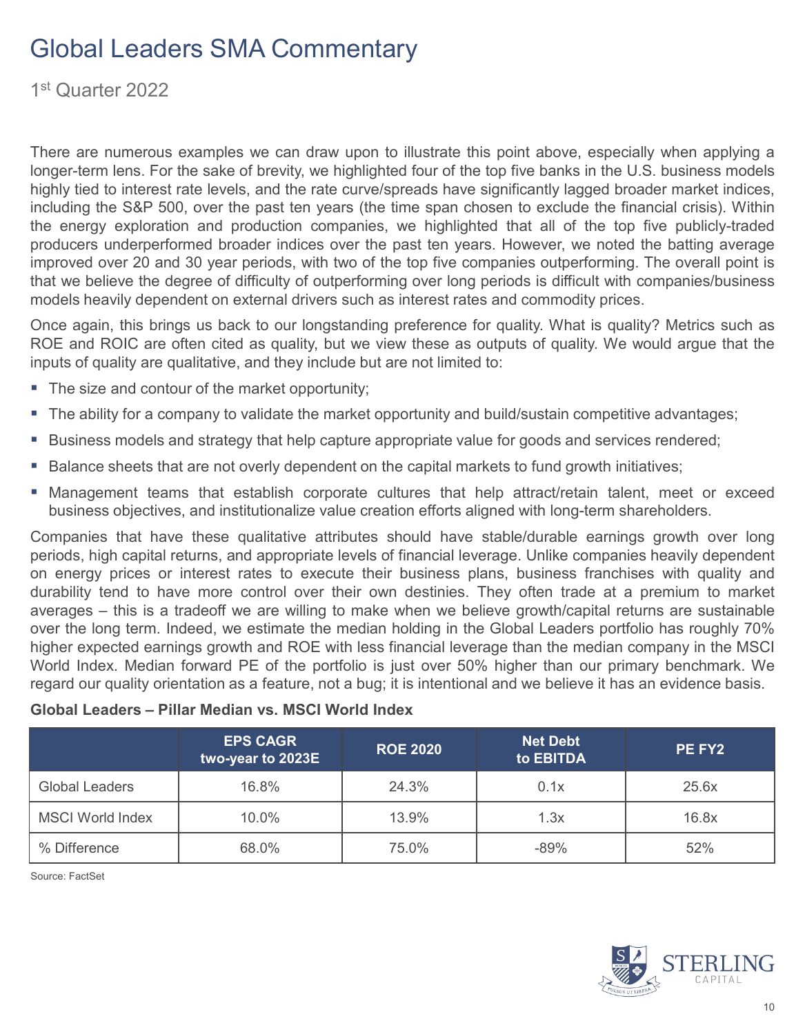1st Quarter 2022

There are numerous examples we can draw upon to illustrate this point above, especially when applying a longer-term lens. For the sake of brevity, we highlighted four of the top five banks in the U.S. business models highly tied to interest rate levels, and the rate curve/spreads have significantly lagged broader market indices, including the S&P 500, over the past ten years (the time span chosen to exclude the financial crisis). Within the energy exploration and production companies, we highlighted that all of the top five publicly-traded producers underperformed broader indices over the past ten years. However, we noted the batting average improved over 20 and 30 year periods, with two of the top five companies outperforming. The overall point is that we believe the degree of difficulty of outperforming over long periods is difficult with companies/business models heavily dependent on external drivers such as interest rates and commodity prices.

Once again, this brings us back to our longstanding preference for quality. What is quality? Metrics such as ROE and ROIC are often cited as quality, but we view these as outputs of quality. We would argue that the inputs of quality are qualitative, and they include but are not limited to:

- The size and contour of the market opportunity;
- The ability for a company to validate the market opportunity and build/sustain competitive advantages;
- **Business models and strategy that help capture appropriate value for goods and services rendered;**
- **Balance sheets that are not overly dependent on the capital markets to fund growth initiatives;**
- Management teams that establish corporate cultures that help attract/retain talent, meet or exceed business objectives, and institutionalize value creation efforts aligned with long-term shareholders.

Companies that have these qualitative attributes should have stable/durable earnings growth over long periods, high capital returns, and appropriate levels of financial leverage. Unlike companies heavily dependent on energy prices or interest rates to execute their business plans, business franchises with quality and durability tend to have more control over their own destinies. They often trade at a premium to market averages – this is a tradeoff we are willing to make when we believe growth/capital returns are sustainable over the long term. Indeed, we estimate the median holding in the Global Leaders portfolio has roughly 70% higher expected earnings growth and ROE with less financial leverage than the median company in the MSCI World Index. Median forward PE of the portfolio is just over 50% higher than our primary benchmark. We regard our quality orientation as a feature, not a bug; it is intentional and we believe it has an evidence basis.

#### **Global Leaders – Pillar Median vs. MSCI World Index**

|                         | <b>EPS CAGR</b><br>two-year to 2023E | <b>ROE 2020</b> | <b>Net Debt</b><br>to EBITDA | PE FY2 |  |
|-------------------------|--------------------------------------|-----------------|------------------------------|--------|--|
| <b>Global Leaders</b>   | 16.8%                                | 24.3%           | 0.1x                         | 25.6x  |  |
| <b>MSCI World Index</b> | 10.0%                                | 13.9%           | 1.3x                         | 16.8x  |  |
| % Difference            | 68.0%                                | 75.0%           | $-89%$                       | 52%    |  |

Source: FactSet

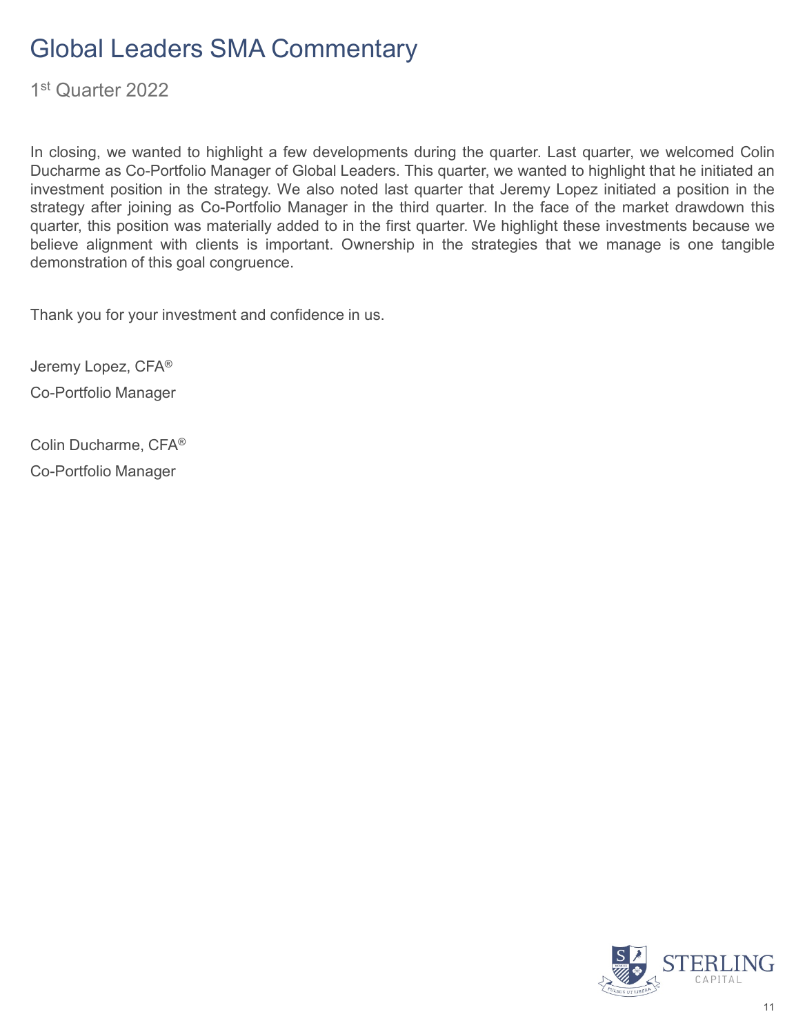1st Quarter 2022

In closing, we wanted to highlight a few developments during the quarter. Last quarter, we welcomed Colin Ducharme as Co-Portfolio Manager of Global Leaders. This quarter, we wanted to highlight that he initiated an investment position in the strategy. We also noted last quarter that Jeremy Lopez initiated a position in the strategy after joining as Co-Portfolio Manager in the third quarter. In the face of the market drawdown this quarter, this position was materially added to in the first quarter. We highlight these investments because we believe alignment with clients is important. Ownership in the strategies that we manage is one tangible demonstration of this goal congruence.

Thank you for your investment and confidence in us.

Jeremy Lopez, CFA® Co-Portfolio Manager

Colin Ducharme, CFA® Co-Portfolio Manager

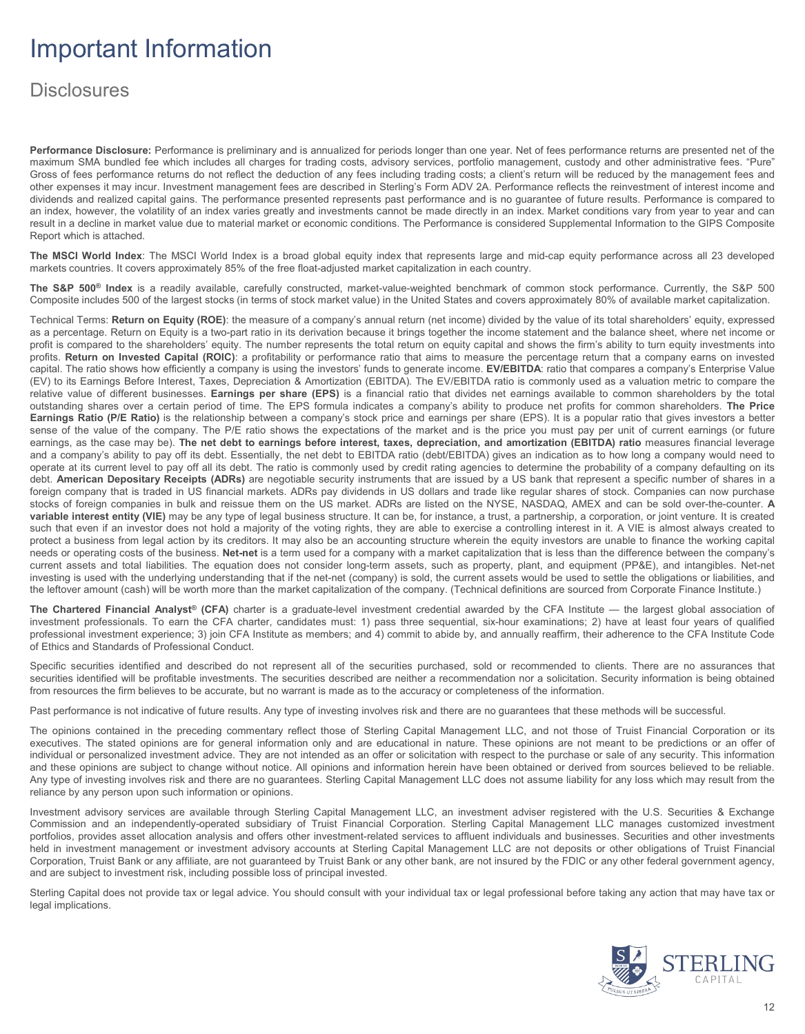## Important Information

#### **Disclosures**

**Performance Disclosure:** Performance is preliminary and is annualized for periods longer than one year. Net of fees performance returns are presented net of the maximum SMA bundled fee which includes all charges for trading costs, advisory services, portfolio management, custody and other administrative fees. "Pure" Gross of fees performance returns do not reflect the deduction of any fees including trading costs; a client's return will be reduced by the management fees and other expenses it may incur. Investment management fees are described in Sterling's Form ADV 2A. Performance reflects the reinvestment of interest income and dividends and realized capital gains. The performance presented represents past performance and is no guarantee of future results. Performance is compared to an index, however, the volatility of an index varies greatly and investments cannot be made directly in an index. Market conditions vary from year to year and can result in a decline in market value due to material market or economic conditions. The Performance is considered Supplemental Information to the GIPS Composite Report which is attached.

**The MSCI World Index**: The MSCI World Index is a broad global equity index that represents large and mid-cap equity performance across all 23 developed markets countries. It covers approximately 85% of the free float-adjusted market capitalization in each country.

**The S&P 500® Index** is a readily available, carefully constructed, market-value-weighted benchmark of common stock performance. Currently, the S&P 500 Composite includes 500 of the largest stocks (in terms of stock market value) in the United States and covers approximately 80% of available market capitalization.

Technical Terms: **Return on Equity (ROE)**: the measure of a company's annual return (net income) divided by the value of its total shareholders' equity, expressed as a percentage. Return on Equity is a two-part ratio in its derivation because it brings together the income statement and the balance sheet, where net income or profit is compared to the shareholders' equity. The number represents the total return on equity capital and shows the firm's ability to turn equity investments into profits. **Return on Invested Capital (ROIC)**: a profitability or performance ratio that aims to measure the percentage return that a company earns on invested capital. The ratio shows how efficiently a company is using the investors' funds to generate income. **EV/EBITDA**: ratio that compares a company's Enterprise Value (EV) to its Earnings Before Interest, Taxes, Depreciation & Amortization (EBITDA). The EV/EBITDA ratio is commonly used as a valuation metric to compare the relative value of different businesses. **Earnings per share (EPS)** is a financial ratio that divides net earnings available to common shareholders by the total outstanding shares over a certain period of time. The EPS formula indicates a company's ability to produce net profits for common shareholders. **The Price Earnings Ratio (P/E Ratio)** is the relationship between a company's stock price and earnings per share (EPS). It is a popular ratio that gives investors a better sense of the value of the company. The P/E ratio shows the expectations of the market and is the price you must pay per unit of current earnings (or future earnings, as the case may be). The net debt to earnings before interest, taxes, depreciation, and amortization (EBITDA) ratio measures financial leverage and a company's ability to pay off its debt. Essentially, the net debt to EBITDA ratio (debt/EBITDA) gives an indication as to how long a company would need to operate at its current level to pay off all its debt. The ratio is commonly used by credit rating agencies to determine the probability of a company defaulting on its debt. **American Depositary Receipts (ADRs)** are negotiable security instruments that are issued by a US bank that represent a specific number of shares in a foreign company that is traded in US financial markets. ADRs pay dividends in US dollars and trade like regular shares of stock. Companies can now purchase stocks of foreign companies in bulk and reissue them on the US market. ADRs are listed on the NYSE, NASDAQ, AMEX and can be sold over-the-counter. **A variable interest entity (VIE)** may be any type of legal business structure. It can be, for instance, a trust, a partnership, a corporation, or joint venture. It is created such that even if an investor does not hold a majority of the voting rights, they are able to exercise a controlling interest in it. A VIE is almost always created to protect a business from legal action by its creditors. It may also be an accounting structure wherein the equity investors are unable to finance the working capital needs or operating costs of the business. **Net-net** is a term used for a company with a market capitalization that is less than the difference between the company's current assets and total liabilities. The equation does not consider long-term assets, such as property, plant, and equipment (PP&E), and intangibles. Net-net investing is used with the underlying understanding that if the net-net (company) is sold, the current assets would be used to settle the obligations or liabilities, and the leftover amount (cash) will be worth more than the market capitalization of the company. (Technical definitions are sourced from Corporate Finance Institute.)

**The Chartered Financial Analyst® (CFA)** charter is a graduate-level investment credential awarded by the CFA Institute — the largest global association of investment professionals. To earn the CFA charter, candidates must: 1) pass three sequential, six-hour examinations; 2) have at least four years of qualified professional investment experience; 3) join CFA Institute as members; and 4) commit to abide by, and annually reaffirm, their adherence to the CFA Institute Code of Ethics and Standards of Professional Conduct.

Specific securities identified and described do not represent all of the securities purchased, sold or recommended to clients. There are no assurances that securities identified will be profitable investments. The securities described are neither a recommendation nor a solicitation. Security information is being obtained from resources the firm believes to be accurate, but no warrant is made as to the accuracy or completeness of the information.

Past performance is not indicative of future results. Any type of investing involves risk and there are no guarantees that these methods will be successful.

The opinions contained in the preceding commentary reflect those of Sterling Capital Management LLC, and not those of Truist Financial Corporation or its executives. The stated opinions are for general information only and are educational in nature. These opinions are not meant to be predictions or an offer of individual or personalized investment advice. They are not intended as an offer or solicitation with respect to the purchase or sale of any security. This information and these opinions are subject to change without notice. All opinions and information herein have been obtained or derived from sources believed to be reliable. Any type of investing involves risk and there are no guarantees. Sterling Capital Management LLC does not assume liability for any loss which may result from the reliance by any person upon such information or opinions.

Investment advisory services are available through Sterling Capital Management LLC, an investment adviser registered with the U.S. Securities & Exchange Commission and an independently-operated subsidiary of Truist Financial Corporation. Sterling Capital Management LLC manages customized investment portfolios, provides asset allocation analysis and offers other investment-related services to affluent individuals and businesses. Securities and other investments held in investment management or investment advisory accounts at Sterling Capital Management LLC are not deposits or other obligations of Truist Financial Corporation, Truist Bank or any affiliate, are not guaranteed by Truist Bank or any other bank, are not insured by the FDIC or any other federal government agency, and are subject to investment risk, including possible loss of principal invested.

Sterling Capital does not provide tax or legal advice. You should consult with your individual tax or legal professional before taking any action that may have tax or legal implications.